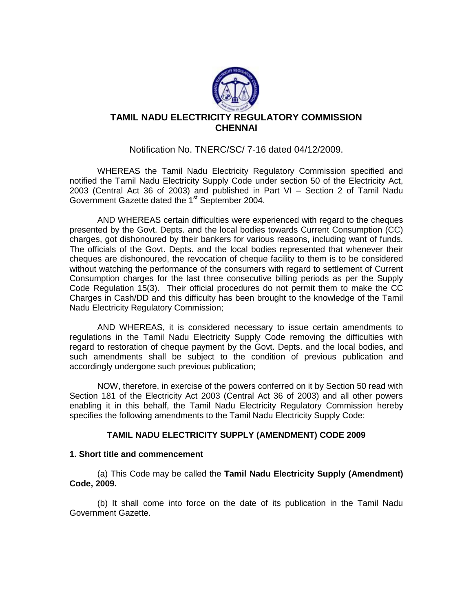

## Notification No. TNERC/SC/ 7-16 dated 04/12/2009.

WHEREAS the Tamil Nadu Electricity Regulatory Commission specified and notified the Tamil Nadu Electricity Supply Code under section 50 of the Electricity Act, 2003 (Central Act 36 of 2003) and published in Part VI – Section 2 of Tamil Nadu Government Gazette dated the 1<sup>st</sup> September 2004.

AND WHEREAS certain difficulties were experienced with regard to the cheques presented by the Govt. Depts. and the local bodies towards Current Consumption (CC) charges, got dishonoured by their bankers for various reasons, including want of funds. The officials of the Govt. Depts. and the local bodies represented that whenever their cheques are dishonoured, the revocation of cheque facility to them is to be considered without watching the performance of the consumers with regard to settlement of Current Consumption charges for the last three consecutive billing periods as per the Supply Code Regulation 15(3). Their official procedures do not permit them to make the CC Charges in Cash/DD and this difficulty has been brought to the knowledge of the Tamil Nadu Electricity Regulatory Commission;

AND WHEREAS, it is considered necessary to issue certain amendments to regulations in the Tamil Nadu Electricity Supply Code removing the difficulties with regard to restoration of cheque payment by the Govt. Depts. and the local bodies, and such amendments shall be subject to the condition of previous publication and accordingly undergone such previous publication;

NOW, therefore, in exercise of the powers conferred on it by Section 50 read with Section 181 of the Electricity Act 2003 (Central Act 36 of 2003) and all other powers enabling it in this behalf, the Tamil Nadu Electricity Regulatory Commission hereby specifies the following amendments to the Tamil Nadu Electricity Supply Code:

#### **TAMIL NADU ELECTRICITY SUPPLY (AMENDMENT) CODE 2009**

#### **1. Short title and commencement**

(a) This Code may be called the **Tamil Nadu Electricity Supply (Amendment) Code, 2009.**

(b) It shall come into force on the date of its publication in the Tamil Nadu Government Gazette.